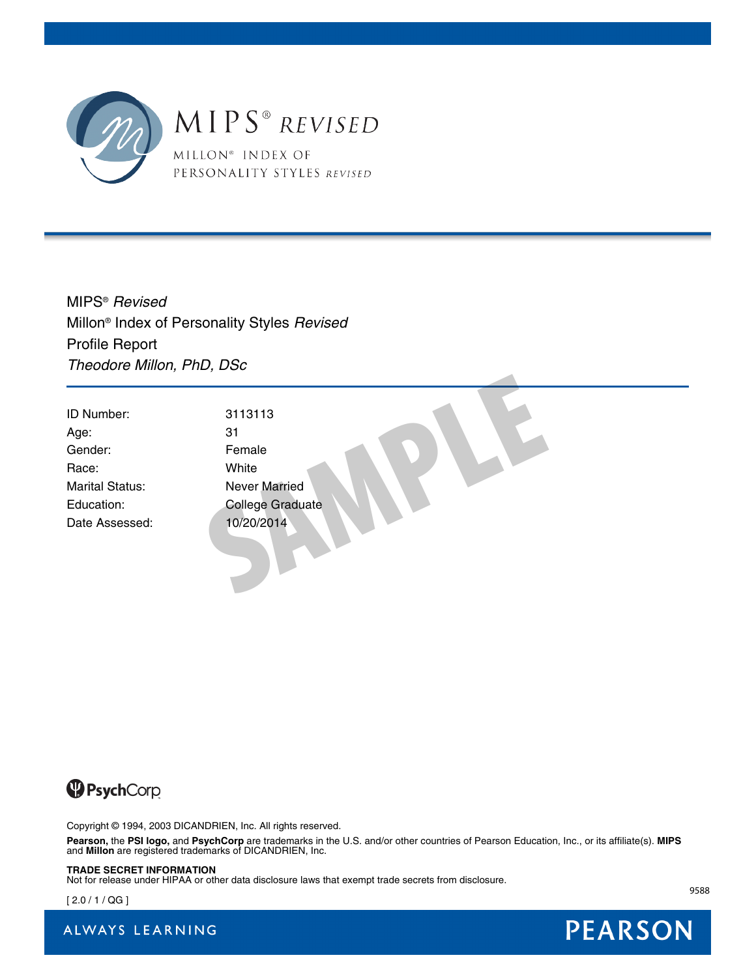

MIPS®  *Revised* Millon® Index of Personality Styles *Revised* Profile Report *Theodore Millon, PhD, DSc*

| ID Number:             | 3113113                 |  |
|------------------------|-------------------------|--|
| Age:                   | 31                      |  |
| Gender:                | Female                  |  |
| Race:                  | White                   |  |
| <b>Marital Status:</b> | Never Married           |  |
| Education:             | <b>College Graduate</b> |  |
| Date Assessed:         | 10/20/2014              |  |



Copyright © 1994, 2003 DICANDRIEN, Inc. All rights reserved.

**Pearson,** the **PSI logo,** and **PsychCorp** are trademarks in the U.S. and/or other countries of Pearson Education, Inc., or its affiliate(s). **MIPS** and **Millon** are registered trademarks of DICANDRIEN, Inc.

#### **TRADE SECRET INFORMATION**

Not for release under HIPAA or other data disclosure laws that exempt trade secrets from disclosure.

 $[2.0 / 1 / QG]$ 

ALWAYS LEARNING



9588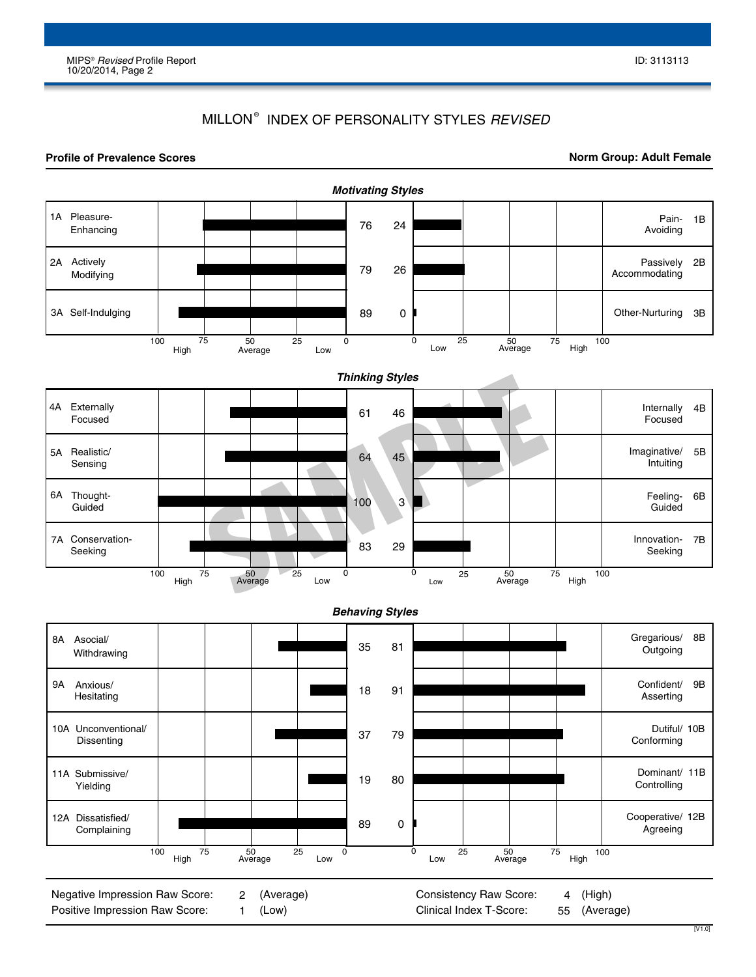### MILLON® INDEX OF PERSONALITY STYLES *REVISED*

#### **Profile of Prevalence Scores**

**Norm Group: Adult Female**

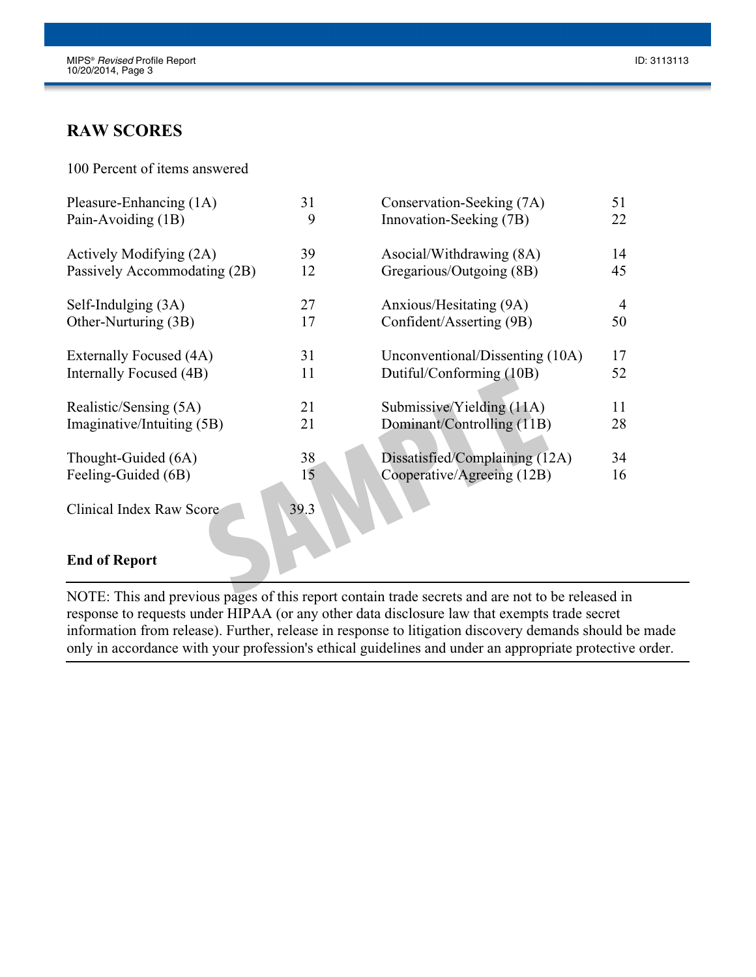# **RAW SCORES**

100 Percent of items answered

| Pleasure-Enhancing (1A)      | 31   | Conservation-Seeking (7A)                                                                        | 51             |
|------------------------------|------|--------------------------------------------------------------------------------------------------|----------------|
| Pain-Avoiding (1B)           | 9    | Innovation-Seeking (7B)                                                                          | 22             |
| Actively Modifying (2A)      | 39   | Asocial/Withdrawing (8A)                                                                         | 14             |
| Passively Accommodating (2B) | 12   | Gregarious/Outgoing (8B)                                                                         | 45             |
| Self-Indulging (3A)          | 27   | Anxious/Hesitating (9A)                                                                          | $\overline{4}$ |
| Other-Nurturing (3B)         | 17   | Confident/Asserting (9B)                                                                         | 50             |
| Externally Focused (4A)      | 31   | Unconventional/Dissenting (10A)                                                                  | 17             |
| Internally Focused (4B)      | 11   | Dutiful/Conforming (10B)                                                                         | 52             |
| Realistic/Sensing (5A)       | 21   | Submissive/Yielding (11A)                                                                        | 11             |
| Imaginative/Intuiting (5B)   | 21   | Dominant/Controlling (11B)                                                                       | 28             |
| Thought-Guided (6A)          | 38   | Dissatisfied/Complaining (12A)                                                                   | 34             |
| Feeling-Guided (6B)          | 15   | Cooperative/Agreeing (12B)                                                                       | 16             |
| Clinical Index Raw Score     | 39.3 |                                                                                                  |                |
| <b>End of Report</b>         |      |                                                                                                  |                |
|                              |      | MOTE, This and provious nagge of this report contain trade secrets and are not to be released in |                |

#### **End of Report**

NOTE: This and previous pages of this report contain trade secrets and are not to be released in response to requests under HIPAA (or any other data disclosure law that exempts trade secret information from release). Further, release in response to litigation discovery demands should be made only in accordance with your profession's ethical guidelines and under an appropriate protective order.